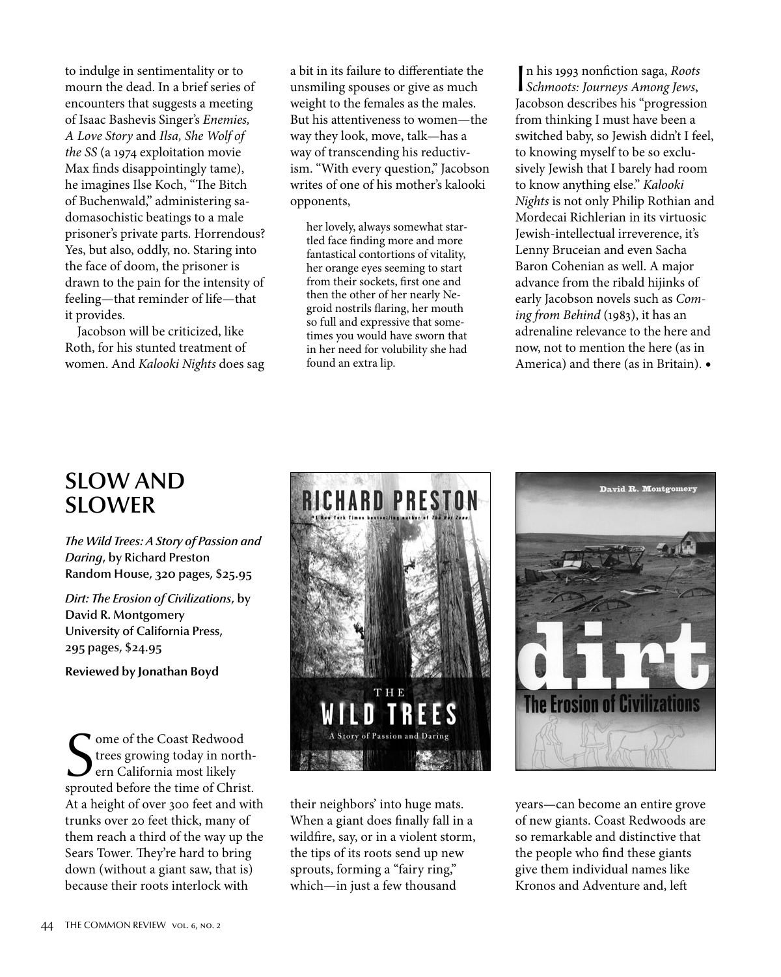to indulge in sentimentality or to mourn the dead. In a brief series of encounters that suggests a meeting of Isaac Bashevis Singer's Enemies, A Love Story and Ilsa, She Wolf of the SS (a 1974 exploitation movie Max finds disappointingly tame), he imagines Ilse Koch, "The Bitch of Buchenwald," administering sadomasochistic beatings to a male prisoner's private parts. Horrendous? Yes, but also, oddly, no. Staring into the face of doom, the prisoner is drawn to the pain for the intensity of feeling—that reminder of life—that it provides.

Jacobson will be criticized, like Roth, for his stunted treatment of women. And Kalooki Nights does sag a bit in its failure to differentiate the unsmiling spouses or give as much weight to the females as the males. But his attentiveness to women—the way they look, move, talk—has a way of transcending his reductivism. "With every question," Jacobson writes of one of his mother's kalooki opponents,

her lovely, always somewhat startled face finding more and more fantastical contortions of vitality, her orange eyes seeming to start from their sockets, first one and then the other of her nearly Negroid nostrils flaring, her mouth so full and expressive that sometimes you would have sworn that in her need for volubility she had found an extra lip.

I Schmoots: Journeys Among Jews, In his 1993 nonfiction saga, Roots Jacobson describes his "progression from thinking I must have been a switched baby, so Jewish didn't I feel, to knowing myself to be so exclusively Jewish that I barely had room to know anything else." Kalooki Nights is not only Philip Rothian and Mordecai Richlerian in its virtuosic Jewish-intellectual irreverence, it's Lenny Bruceian and even Sacha Baron Cohenian as well. A major advance from the ribald hijinks of early Jacobson novels such as Coming from Behind (1983), it has an adrenaline relevance to the here and now, not to mention the here (as in America) and there (as in Britain).•

## SLOW AND SLOWER

*The Wild Trees: A Story of Passion and Daring*, by Richard Preston Random House, 320 pages, \$25.95

*Dirt: The Erosion of Civilizations*, by David R. Montgomery University of California Press, 295 pages, \$24.95

**Reviewed by Jonathan Boyd**

Some of the Coast Redwood<br>trees growing today in north-<br>ern California most likely<br>sprouted before the time of Christ. ome of the Coast Redwood trees growing today in northern California most likely At a height of over 300 feet and with trunks over 20 feet thick, many of them reach a third of the way up the Sears Tower. They're hard to bring down (without a giant saw, that is) because their roots interlock with



their neighbors' into huge mats. When a giant does finally fall in a wildfire, say, or in a violent storm, the tips of its roots send up new sprouts, forming a "fairy ring," which—in just a few thousand



years—can become an entire grove of new giants. Coast Redwoods are so remarkable and distinctive that the people who find these giants give them individual names like Kronos and Adventure and, left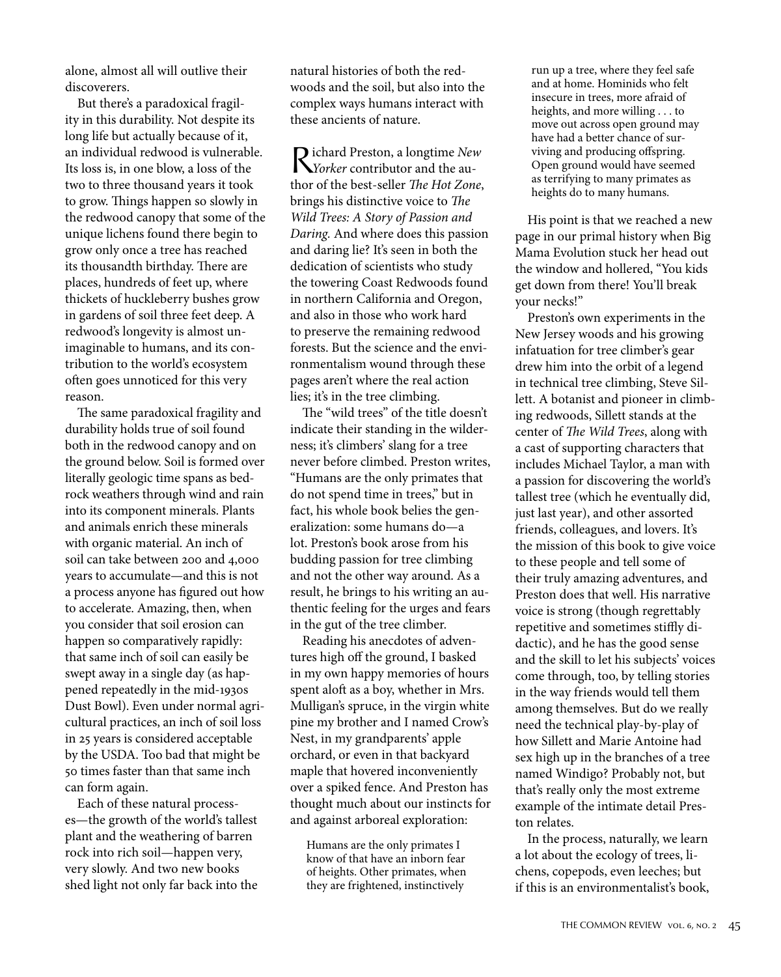alone, almost all will outlive their discoverers.

But there's a paradoxical fragility in this durability. Not despite its long life but actually because of it, an individual redwood is vulnerable. Its loss is, in one blow, a loss of the two to three thousand years it took to grow. Things happen so slowly in the redwood canopy that some of the unique lichens found there begin to grow only once a tree has reached its thousandth birthday. There are places, hundreds of feet up, where thickets of huckleberry bushes grow in gardens of soil three feet deep. A redwood's longevity is almost unimaginable to humans, and its contribution to the world's ecosystem often goes unnoticed for this very reason.

The same paradoxical fragility and durability holds true of soil found both in the redwood canopy and on the ground below. Soil is formed over literally geologic time spans as bedrock weathers through wind and rain into its component minerals. Plants and animals enrich these minerals with organic material. An inch of soil can take between 200 and 4,000 years to accumulate—and this is not a process anyone has figured out how to accelerate. Amazing, then, when you consider that soil erosion can happen so comparatively rapidly: that same inch of soil can easily be swept away in a single day (as happened repeatedly in the mid-1930s Dust Bowl). Even under normal agricultural practices, an inch of soil loss in 25 years is considered acceptable by the USDA. Too bad that might be 50 times faster than that same inch can form again.

Each of these natural processes—the growth of the world's tallest plant and the weathering of barren rock into rich soil—happen very, very slowly. And two new books shed light not only far back into the natural histories of both the redwoods and the soil, but also into the complex ways humans interact with these ancients of nature.

Richard Preston, <sup>a</sup> longtime New Yorker contributor and the author of the best-seller The Hot Zone, brings his distinctive voice to The Wild Trees: A Story of Passion and Daring. And where does this passion and daring lie? It's seen in both the dedication of scientists who study the towering Coast Redwoods found in northern California and Oregon, and also in those who work hard to preserve the remaining redwood forests. But the science and the environmentalism wound through these pages aren't where the real action lies; it's in the tree climbing.

The "wild trees" of the title doesn't indicate their standing in the wilderness; it's climbers' slang for a tree never before climbed. Preston writes, "Humans are the only primates that do not spend time in trees," but in fact, his whole book belies the generalization: some humans do—a lot. Preston's book arose from his budding passion for tree climbing and not the other way around. As a result, he brings to his writing an authentic feeling for the urges and fears in the gut of the tree climber.

Reading his anecdotes of adventures high off the ground, I basked in my own happy memories of hours spent aloft as a boy, whether in Mrs. Mulligan's spruce, in the virgin white pine my brother and I named Crow's Nest, in my grandparents' apple orchard, or even in that backyard maple that hovered inconveniently over a spiked fence. And Preston has thought much about our instincts for and against arboreal exploration:

Humans are the only primates I know of that have an inborn fear of heights. Other primates, when they are frightened, instinctively

run up a tree, where they feel safe and at home. Hominids who felt insecure in trees, more afraid of heights, and more willing . . . to move out across open ground may have had a better chance of surviving and producing offspring. Open ground would have seemed as terrifying to many primates as heights do to many humans.

His point is that we reached a new page in our primal history when Big Mama Evolution stuck her head out the window and hollered, "You kids get down from there! You'll break your necks!"

Preston's own experiments in the New Jersey woods and his growing infatuation for tree climber's gear drew him into the orbit of a legend in technical tree climbing, Steve Sillett. A botanist and pioneer in climbing redwoods, Sillett stands at the center of The Wild Trees, along with a cast of supporting characters that includes Michael Taylor, a man with a passion for discovering the world's tallest tree (which he eventually did, just last year), and other assorted friends, colleagues, and lovers. It's the mission of this book to give voice to these people and tell some of their truly amazing adventures, and Preston does that well. His narrative voice is strong (though regrettably repetitive and sometimes stiffly didactic), and he has the good sense and the skill to let his subjects' voices come through, too, by telling stories in the way friends would tell them among themselves. But do we really need the technical play-by-play of how Sillett and Marie Antoine had sex high up in the branches of a tree named Windigo? Probably not, but that's really only the most extreme example of the intimate detail Preston relates.

In the process, naturally, we learn a lot about the ecology of trees, lichens, copepods, even leeches; but if this is an environmentalist's book,